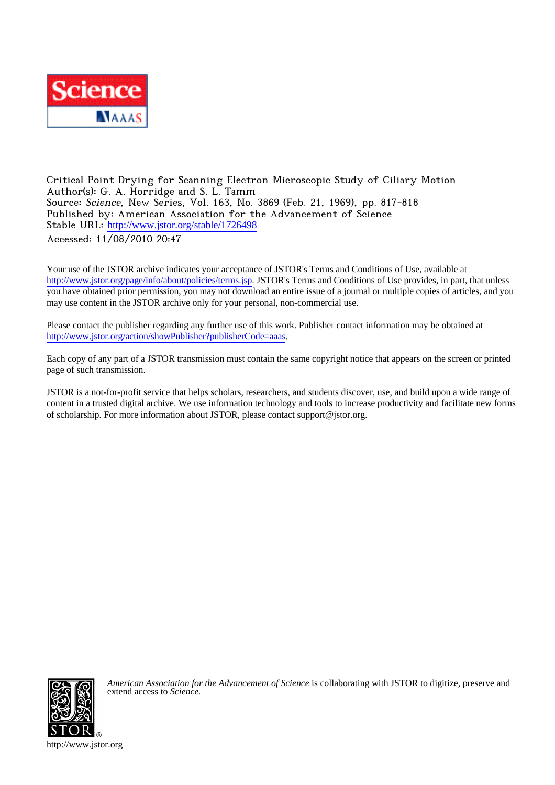

Critical Point Drying for Scanning Electron Microscopic Study of Ciliary Motion Author(s): G. A. Horridge and S. L. Tamm Source: Science, New Series, Vol. 163, No. 3869 (Feb. 21, 1969), pp. 817-818 Published by: American Association for the Advancement of Science Stable URL: [http://www.jstor.org/stable/1726498](http://www.jstor.org/stable/1726498?origin=JSTOR-pdf) Accessed: 11/08/2010 20:47

Your use of the JSTOR archive indicates your acceptance of JSTOR's Terms and Conditions of Use, available at <http://www.jstor.org/page/info/about/policies/terms.jsp>. JSTOR's Terms and Conditions of Use provides, in part, that unless you have obtained prior permission, you may not download an entire issue of a journal or multiple copies of articles, and you may use content in the JSTOR archive only for your personal, non-commercial use.

Please contact the publisher regarding any further use of this work. Publisher contact information may be obtained at <http://www.jstor.org/action/showPublisher?publisherCode=aaas>.

Each copy of any part of a JSTOR transmission must contain the same copyright notice that appears on the screen or printed page of such transmission.

JSTOR is a not-for-profit service that helps scholars, researchers, and students discover, use, and build upon a wide range of content in a trusted digital archive. We use information technology and tools to increase productivity and facilitate new forms of scholarship. For more information about JSTOR, please contact support@jstor.org.



*American Association for the Advancement of Science* is collaborating with JSTOR to digitize, preserve and extend access to *Science.*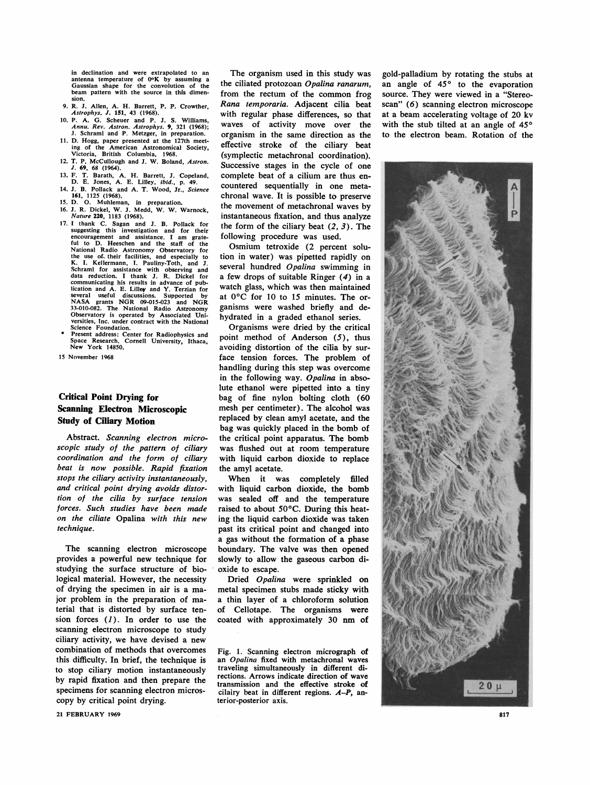in declination and were extrapolated to an antenna temperature of  $0$ °K by assuming a Gaussian shape for the convolution of the beam pattern with the source in this dimen-

- 9. R. J. Allen, A. H. Barrett, P. P. Crowther, Astrophys. J. 151, 43 (1968).
- 10. P. A. G. Scheuer and P. J. S. Williams, Annu. Rev. Astron. Astrophys. 9, 321 (1968);<br>J. Schraml and P. Metzger, in preparation.
- 11. D. Hogg, paper presented at the 127th meeting of the American Astronomical Society, Victoria, British Columbia, 1968.
- 12. T. P. McCullough and J. W. Boland, Astron.  $\overline{J}$ . 69, 68 (1964).
- 13. F. T. Barath, A. H. Barrett, J. Copeland, D. E. Jones, A. E. Lilley, *ibid.*, p. 49.<br>14. J. B. Pollack and A. T. Wood, Jr., *Science*
- 161, 1125 (1968).
- 15. D. O. Muhleman, in preparation.
- 16. J. R. Dickel, W. J. Medd, W. W. Warnock, Nature 220, 1183 (1968).
- 17. I thank C. Sagan and J. B. Pollack for<br>suggesting this investigation and for their encouragement and assistance. I am grate-<br>ful to D. Heeschen and the staff of the For Mational Radio Astronomy Observatory for<br>the use of their facilities, and especially to<br>K. I. Kellermann, I. Pauliny-Toth, and J.<br>Schraml for assistance with observing and<br>data reduction. I thank J. R. Dickel for communicating his results in advance of pubbication and A. E. Lilley and Y. Terzian for<br>several useful discussions. Supported by<br>NASA grants NGR 09-015-023 and NGR<br>33-010-082. The National Radio Astronomy<br>05servatory is operated by Associated Uni-<br>versities, Inc. u Science Foundation.
- Dresent address: Center for Radiophysics and<br>Space Research, Cornell University, Ithaca,<br>New York 14850.
- 15 November 1968

## **Critical Point Drying for Scanning Electron Microscopic Study of Ciliary Motion**

Abstract. Scanning electron microscopic study of the pattern of ciliary coordination and the form of ciliary beat is now possible. Rapid fixation stops the ciliary activity instantaneously, and critical point drying avoids distortion of the cilia by surface tension forces. Such studies have been made on the ciliate Opalina with this new technique.

The scanning electron microscope provides a powerful new technique for studying the surface structure of biological material. However, the necessity of drying the specimen in air is a major problem in the preparation of material that is distorted by surface tension forces  $(1)$ . In order to use the scanning electron microscope to study ciliary activity, we have devised a new combination of methods that overcomes this difficulty. In brief, the technique is to stop ciliary motion instantaneously by rapid fixation and then prepare the specimens for scanning electron microscopy by critical point drying.

21 FEBRUARY 1969

The organism used in this study was the ciliated protozoan Opalina ranarum, from the rectum of the common frog Rana temporaria. Adjacent cilia beat with regular phase differences, so that waves of activity move over the organism in the same direction as the effective stroke of the ciliary beat (symplectic metachronal coordination). Successive stages in the cycle of one complete beat of a cilium are thus encountered sequentially in one metachronal wave. It is possible to preserve the movement of metachronal waves by instantaneous fixation, and thus analyze the form of the ciliary beat  $(2, 3)$ . The following procedure was used.

Osmium tetroxide (2 percent solution in water) was pipetted rapidly on several hundred Opalina swimming in a few drops of suitable Ringer  $(4)$  in a watch glass, which was then maintained at 0°C for 10 to 15 minutes. The organisms were washed briefly and dehydrated in a graded ethanol series.

Organisms were dried by the critical point method of Anderson (5), thus avoiding distortion of the cilia by surface tension forces. The problem of handling during this step was overcome in the following way. Opalina in absolute ethanol were pipetted into a tiny bag of fine nylon bolting cloth (60 mesh per centimeter). The alcohol was replaced by clean amyl acetate, and the bag was quickly placed in the bomb of the critical point apparatus. The bomb was flushed out at room temperature with liquid carbon dioxide to replace the amyl acetate.

When it was completely filled with liquid carbon dioxide, the bomb was sealed off and the temperature raised to about 50°C. During this heating the liquid carbon dioxide was taken past its critical point and changed into a gas without the formation of a phase boundary. The valve was then opened slowly to allow the gaseous carbon dioxide to escape.

Dried Opalina were sprinkled on metal specimen stubs made sticky with a thin layer of a chloroform solution Cellotape. The organisms were οf coated with approximately 30 nm of

Fig. 1. Scanning electron micrograph of an Opalina fixed with metachronal waves traveling simultaneously in different directions. Arrows indicate direction of wave transmission and the effective stroke of cilairy beat in different regions. A-P, anterior-posterior axis.

gold-palladium by rotating the stubs at an angle of 45° to the evaporation source. They were viewed in a "Stereoscan" (6) scanning electron microscope at a beam accelerating voltage of 20 kv with the stub tilted at an angle of 45° to the electron beam. Rotation of the